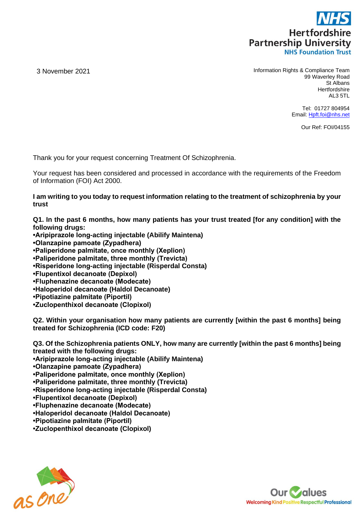

3 November 2021 Information Rights & Compliance Team 99 Waverley Road St Albans **Hertfordshire** AL3 5TL

> Tel: 01727 804954 Email: [Hpft.foi@nhs.net](mailto:Hpft.foi@nhs.net)

> > Our Ref: FOI/04155

Thank you for your request concerning Treatment Of Schizophrenia.

Your request has been considered and processed in accordance with the requirements of the Freedom of Information (FOI) Act 2000.

**I am writing to you today to request information relating to the treatment of schizophrenia by your trust**

**Q1. In the past 6 months, how many patients has your trust treated [for any condition] with the following drugs:**

- **•Aripiprazole long-acting injectable (Abilify Maintena) •Olanzapine pamoate (Zypadhera)**
- **•Paliperidone palmitate, once monthly (Xeplion)**
- **•Paliperidone palmitate, three monthly (Trevicta)**
- **•Risperidone long-acting injectable (Risperdal Consta)**
- **•Flupentixol decanoate (Depixol)**
- **•Fluphenazine decanoate (Modecate)**
- **•Haloperidol decanoate (Haldol Decanoate)**
- **•Pipotiazine palmitate (Piportil)**
- **•Zuclopenthixol decanoate (Clopixol)**

**Q2. Within your organisation how many patients are currently [within the past 6 months] being treated for Schizophrenia (ICD code: F20)**

**Q3. Of the Schizophrenia patients ONLY, how many are currently [within the past 6 months] being treated with the following drugs: •Aripiprazole long-acting injectable (Abilify Maintena) •Olanzapine pamoate (Zypadhera) •Paliperidone palmitate, once monthly (Xeplion) •Paliperidone palmitate, three monthly (Trevicta) •Risperidone long-acting injectable (Risperdal Consta) •Flupentixol decanoate (Depixol) •Fluphenazine decanoate (Modecate) •Haloperidol decanoate (Haldol Decanoate) •Pipotiazine palmitate (Piportil) •Zuclopenthixol decanoate (Clopixol)**